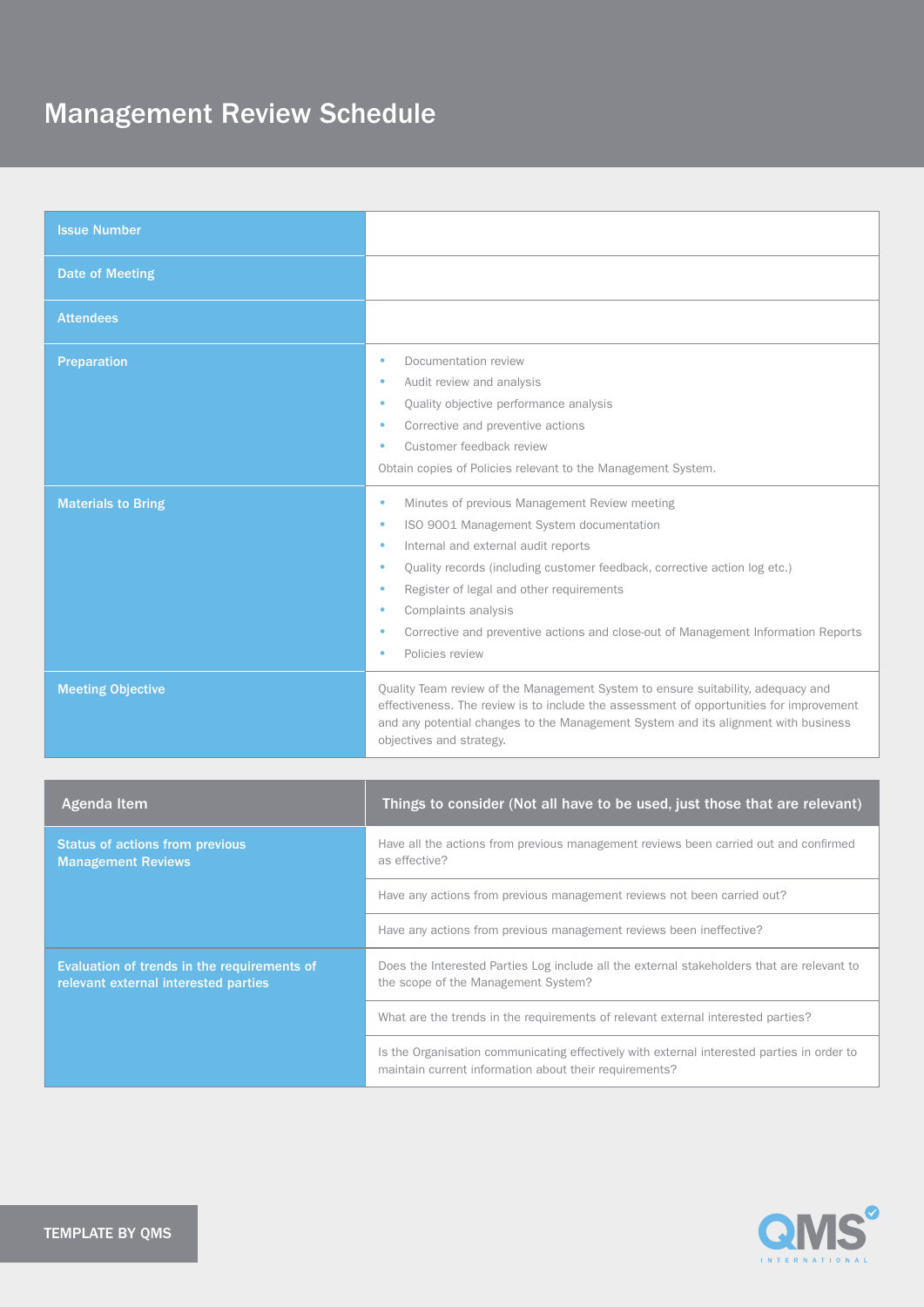| <b>Issue Number</b>       |                                                                                                                                                                                                                                                                                                                                                                                                                   |
|---------------------------|-------------------------------------------------------------------------------------------------------------------------------------------------------------------------------------------------------------------------------------------------------------------------------------------------------------------------------------------------------------------------------------------------------------------|
| <b>Date of Meeting</b>    |                                                                                                                                                                                                                                                                                                                                                                                                                   |
| <b>Attendees</b>          |                                                                                                                                                                                                                                                                                                                                                                                                                   |
| Preparation               | Documentation review<br>Audit review and analysis<br>Quality objective performance analysis<br>Corrective and preventive actions<br>Customer feedback review<br>۰<br>Obtain copies of Policies relevant to the Management System.                                                                                                                                                                                 |
| <b>Materials to Bring</b> | Minutes of previous Management Review meeting<br>۰<br>ISO 9001 Management System documentation<br>۰<br>Internal and external audit reports<br>٠<br>Quality records (including customer feedback, corrective action log etc.)<br>٠<br>Register of legal and other requirements<br>۰<br>Complaints analysis<br>Corrective and preventive actions and close-out of Management Information Reports<br>Policies review |
| <b>Meeting Objective</b>  | Quality Team review of the Management System to ensure suitability, adequacy and<br>effectiveness. The review is to include the assessment of opportunities for improvement<br>and any potential changes to the Management System and its alignment with business<br>objectives and strategy.                                                                                                                     |
|                           |                                                                                                                                                                                                                                                                                                                                                                                                                   |

| Agenda Item                                                                         | Things to consider (Not all have to be used, just those that are relevant)                                                                           |
|-------------------------------------------------------------------------------------|------------------------------------------------------------------------------------------------------------------------------------------------------|
| <b>Status of actions from previous</b><br><b>Management Reviews</b>                 | Have all the actions from previous management reviews been carried out and confirmed<br>as effective?                                                |
|                                                                                     | Have any actions from previous management reviews not been carried out?                                                                              |
|                                                                                     | Have any actions from previous management reviews been ineffective?                                                                                  |
| Evaluation of trends in the requirements of<br>relevant external interested parties | Does the Interested Parties Log include all the external stakeholders that are relevant to<br>the scope of the Management System?                    |
|                                                                                     | What are the trends in the requirements of relevant external interested parties?                                                                     |
|                                                                                     | Is the Organisation communicating effectively with external interested parties in order to<br>maintain current information about their requirements? |

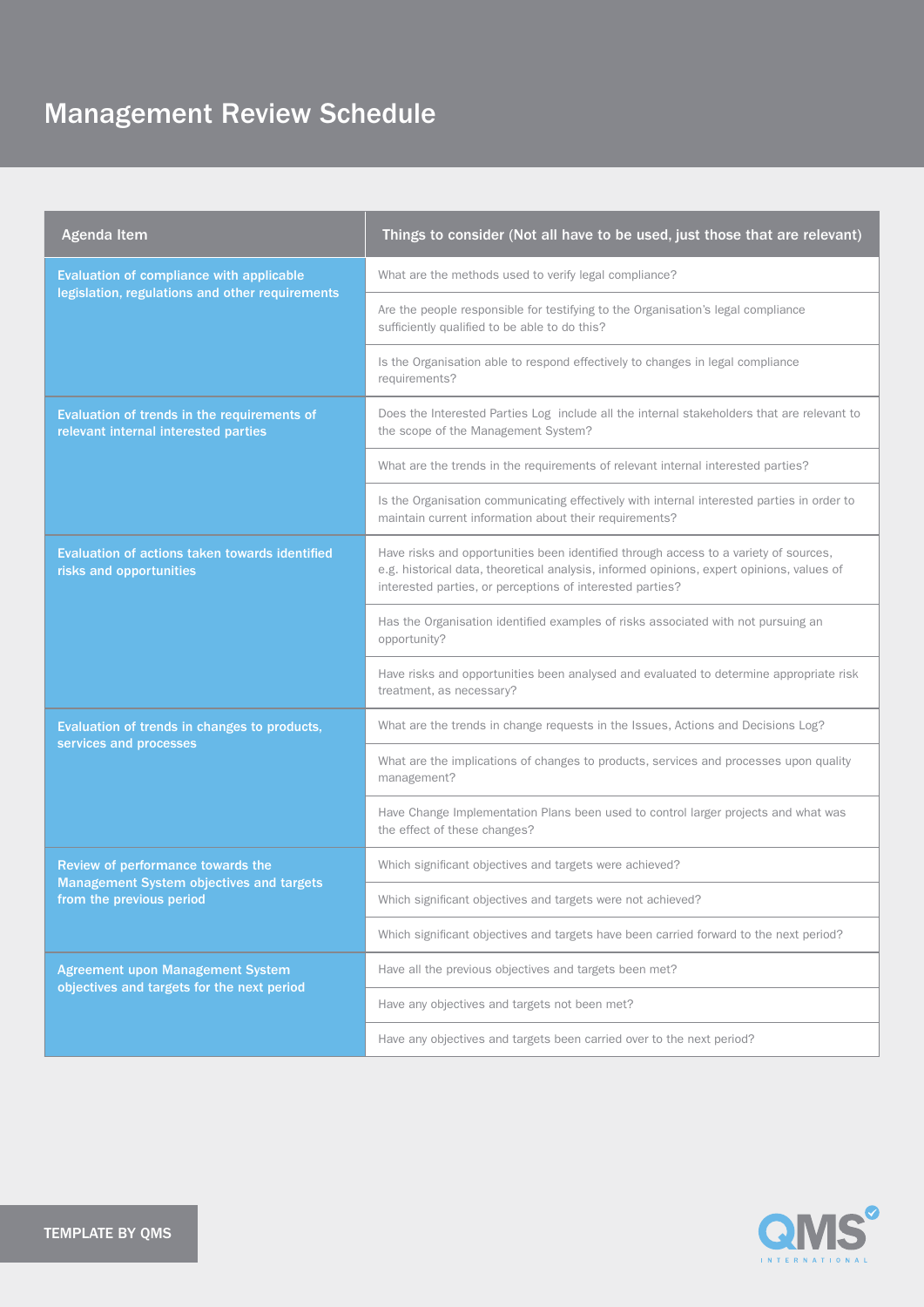| <b>Agenda Item</b>                                                                                               | Things to consider (Not all have to be used, just those that are relevant)                                                                                                                                                                     |
|------------------------------------------------------------------------------------------------------------------|------------------------------------------------------------------------------------------------------------------------------------------------------------------------------------------------------------------------------------------------|
| Evaluation of compliance with applicable<br>legislation, regulations and other requirements                      | What are the methods used to verify legal compliance?                                                                                                                                                                                          |
|                                                                                                                  | Are the people responsible for testifying to the Organisation's legal compliance<br>sufficiently qualified to be able to do this?                                                                                                              |
|                                                                                                                  | Is the Organisation able to respond effectively to changes in legal compliance<br>requirements?                                                                                                                                                |
| Evaluation of trends in the requirements of<br>relevant internal interested parties                              | Does the Interested Parties Log include all the internal stakeholders that are relevant to<br>the scope of the Management System?                                                                                                              |
|                                                                                                                  | What are the trends in the requirements of relevant internal interested parties?                                                                                                                                                               |
|                                                                                                                  | Is the Organisation communicating effectively with internal interested parties in order to<br>maintain current information about their requirements?                                                                                           |
| Evaluation of actions taken towards identified<br>risks and opportunities                                        | Have risks and opportunities been identified through access to a variety of sources,<br>e.g. historical data, theoretical analysis, informed opinions, expert opinions, values of<br>interested parties, or perceptions of interested parties? |
|                                                                                                                  | Has the Organisation identified examples of risks associated with not pursuing an<br>opportunity?                                                                                                                                              |
|                                                                                                                  | Have risks and opportunities been analysed and evaluated to determine appropriate risk<br>treatment, as necessary?                                                                                                                             |
| Evaluation of trends in changes to products,                                                                     | What are the trends in change requests in the Issues, Actions and Decisions Log?                                                                                                                                                               |
| services and processes                                                                                           | What are the implications of changes to products, services and processes upon quality<br>management?                                                                                                                                           |
|                                                                                                                  | Have Change Implementation Plans been used to control larger projects and what was<br>the effect of these changes?                                                                                                                             |
| Review of performance towards the<br><b>Management System objectives and targets</b><br>from the previous period | Which significant objectives and targets were achieved?                                                                                                                                                                                        |
|                                                                                                                  | Which significant objectives and targets were not achieved?                                                                                                                                                                                    |
|                                                                                                                  | Which significant objectives and targets have been carried forward to the next period?                                                                                                                                                         |
| <b>Agreement upon Management System</b><br>objectives and targets for the next period                            | Have all the previous objectives and targets been met?                                                                                                                                                                                         |
|                                                                                                                  | Have any objectives and targets not been met?                                                                                                                                                                                                  |
|                                                                                                                  | Have any objectives and targets been carried over to the next period?                                                                                                                                                                          |

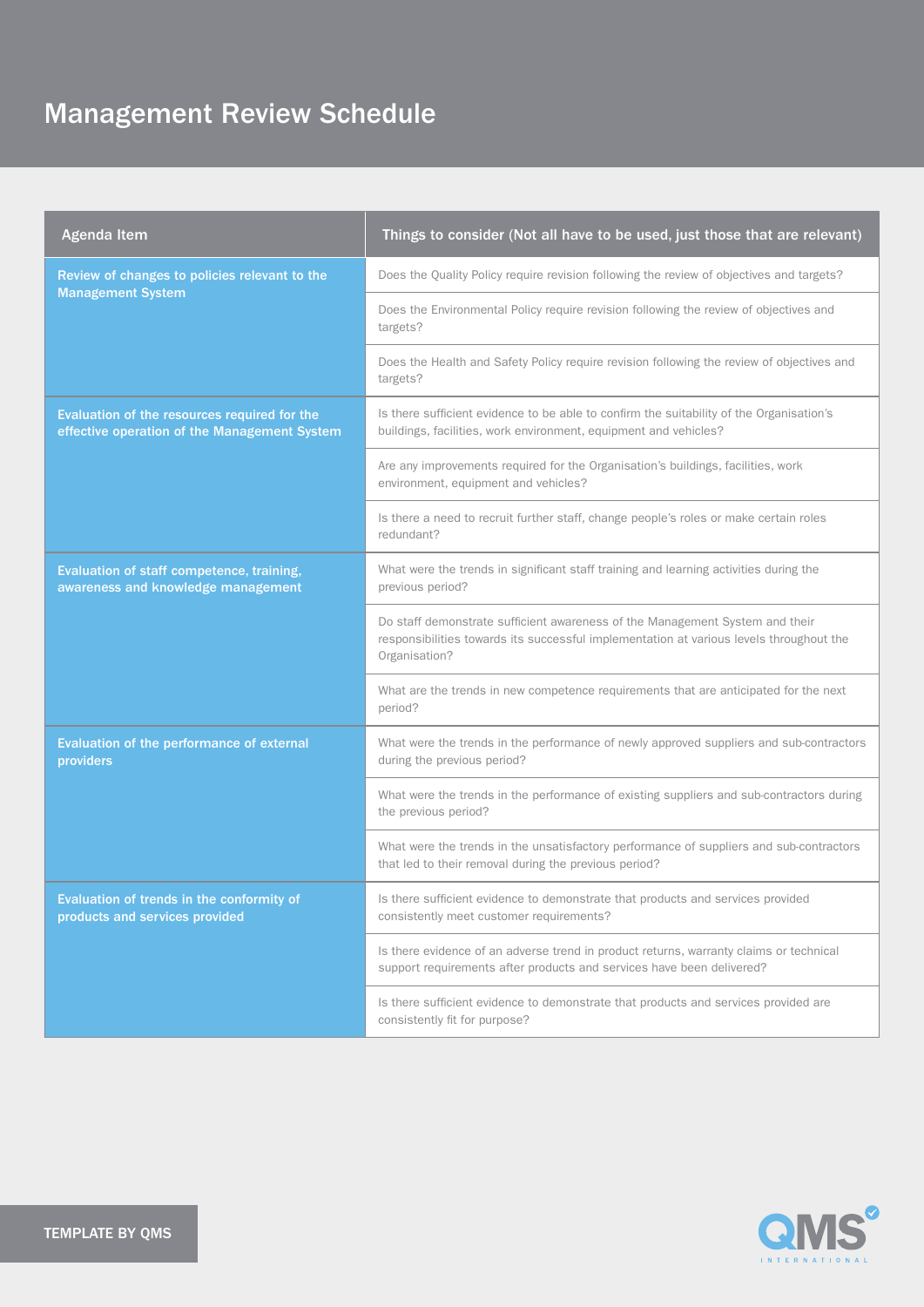| <b>Agenda Item</b>                                                                           | Things to consider (Not all have to be used, just those that are relevant)                                                                                                               |
|----------------------------------------------------------------------------------------------|------------------------------------------------------------------------------------------------------------------------------------------------------------------------------------------|
| Review of changes to policies relevant to the<br><b>Management System</b>                    | Does the Quality Policy require revision following the review of objectives and targets?                                                                                                 |
|                                                                                              | Does the Environmental Policy require revision following the review of objectives and<br>targets?                                                                                        |
|                                                                                              | Does the Health and Safety Policy require revision following the review of objectives and<br>targets?                                                                                    |
| Evaluation of the resources required for the<br>effective operation of the Management System | Is there sufficient evidence to be able to confirm the suitability of the Organisation's<br>buildings, facilities, work environment, equipment and vehicles?                             |
|                                                                                              | Are any improvements required for the Organisation's buildings, facilities, work<br>environment, equipment and vehicles?                                                                 |
|                                                                                              | Is there a need to recruit further staff, change people's roles or make certain roles<br>redundant?                                                                                      |
| Evaluation of staff competence, training,<br>awareness and knowledge management              | What were the trends in significant staff training and learning activities during the<br>previous period?                                                                                |
|                                                                                              | Do staff demonstrate sufficient awareness of the Management System and their<br>responsibilities towards its successful implementation at various levels throughout the<br>Organisation? |
|                                                                                              | What are the trends in new competence requirements that are anticipated for the next<br>period?                                                                                          |
| Evaluation of the performance of external<br>providers                                       | What were the trends in the performance of newly approved suppliers and sub-contractors<br>during the previous period?                                                                   |
|                                                                                              | What were the trends in the performance of existing suppliers and sub-contractors during<br>the previous period?                                                                         |
|                                                                                              | What were the trends in the unsatisfactory performance of suppliers and sub-contractors<br>that led to their removal during the previous period?                                         |
| Evaluation of trends in the conformity of<br>products and services provided                  | Is there sufficient evidence to demonstrate that products and services provided<br>consistently meet customer requirements?                                                              |
|                                                                                              | Is there evidence of an adverse trend in product returns, warranty claims or technical<br>support requirements after products and services have been delivered?                          |
|                                                                                              | Is there sufficient evidence to demonstrate that products and services provided are<br>consistently fit for purpose?                                                                     |